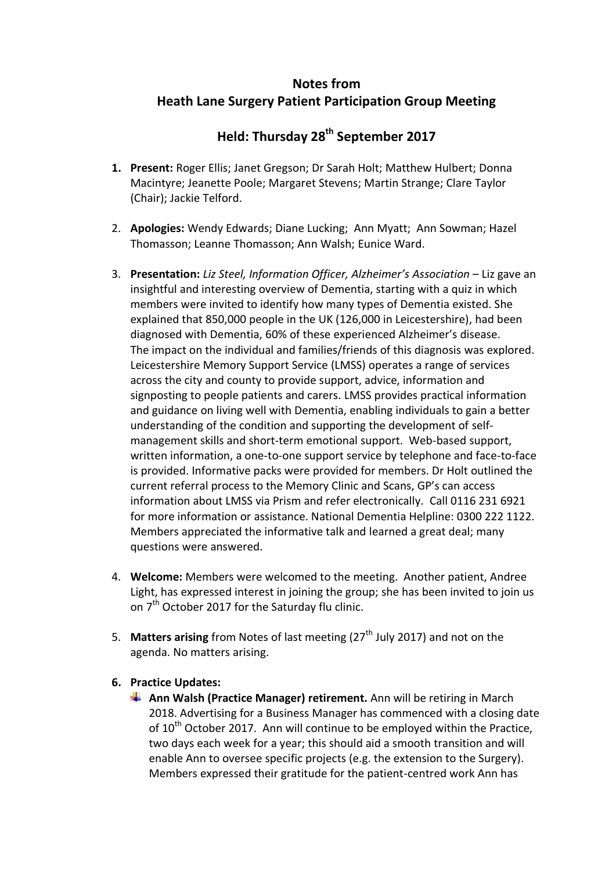# **Notes from Heath Lane Surgery Patient Participation Group Meeting**

## **Held: Thursday 28th September 2017**

- **1. Present:** Roger Ellis; Janet Gregson; Dr Sarah Holt; Matthew Hulbert; Donna Macintyre; Jeanette Poole; Margaret Stevens; Martin Strange; Clare Taylor (Chair); Jackie Telford.
- 2. **Apologies:** Wendy Edwards; Diane Lucking; Ann Myatt; Ann Sowman; Hazel Thomasson; Leanne Thomasson; Ann Walsh; Eunice Ward.
- 3. **Presentation:** *Liz Steel, Information Officer, Alzheimer's Association* Liz gave an insightful and interesting overview of Dementia, starting with a quiz in which members were invited to identify how many types of Dementia existed. She explained that 850,000 people in the UK (126,000 in Leicestershire), had been diagnosed with Dementia, 60% of these experienced Alzheimer's disease. The impact on the individual and families/friends of this diagnosis was explored. Leicestershire Memory Support Service (LMSS) operates a range of services across the city and county to provide support, advice, information and signposting to people patients and carers. LMSS provides practical information and guidance on living well with Dementia, enabling individuals to gain a better understanding of the condition and supporting the development of selfmanagement skills and short-term emotional support. Web-based support, written information, a one-to-one support service by telephone and face-to-face is provided. Informative packs were provided for members. Dr Holt outlined the current referral process to the Memory Clinic and Scans, GP's can access information about LMSS via Prism and refer electronically. Call 0116 231 6921 for more information or assistance. National Dementia Helpline: 0300 222 1122. Members appreciated the informative talk and learned a great deal; many questions were answered.
- 4. **Welcome:** Members were welcomed to the meeting. Another patient, Andree Light, has expressed interest in joining the group; she has been invited to join us on 7<sup>th</sup> October 2017 for the Saturday flu clinic.
- 5. **Matters arising** from Notes of last meeting (27<sup>th</sup> July 2017) and not on the agenda. No matters arising.
- **6. Practice Updates:** 
	- **Ann Walsh (Practice Manager) retirement.** Ann will be retiring in March 2018. Advertising for a Business Manager has commenced with a closing date of  $10^{th}$  October 2017. Ann will continue to be employed within the Practice, two days each week for a year; this should aid a smooth transition and will enable Ann to oversee specific projects (e.g. the extension to the Surgery). Members expressed their gratitude for the patient-centred work Ann has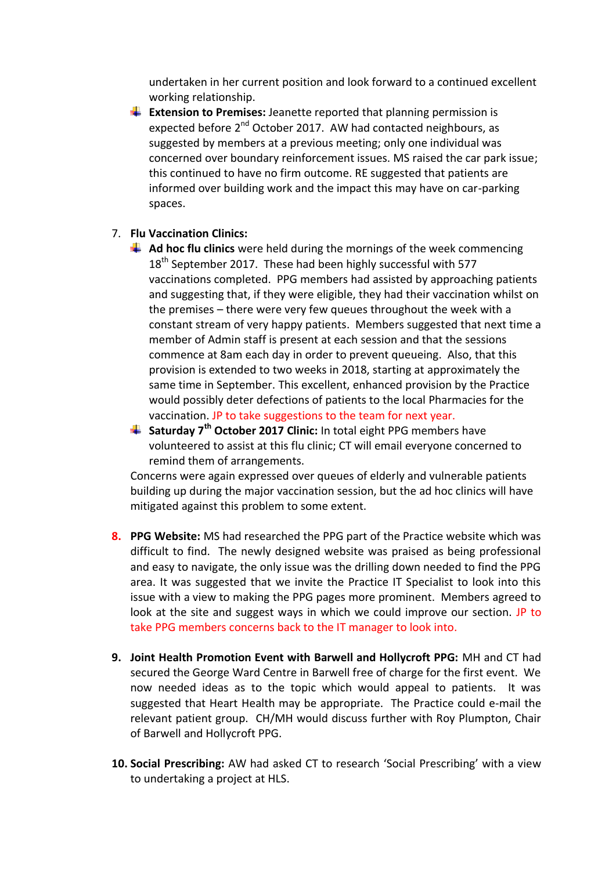undertaken in her current position and look forward to a continued excellent working relationship.

**Extension to Premises:** Jeanette reported that planning permission is expected before 2<sup>nd</sup> October 2017. AW had contacted neighbours, as suggested by members at a previous meeting; only one individual was concerned over boundary reinforcement issues. MS raised the car park issue; this continued to have no firm outcome. RE suggested that patients are informed over building work and the impact this may have on car-parking spaces.

## 7. **Flu Vaccination Clinics:**

- **Ad hoc flu clinics** were held during the mornings of the week commencing 18<sup>th</sup> September 2017. These had been highly successful with 577 vaccinations completed. PPG members had assisted by approaching patients and suggesting that, if they were eligible, they had their vaccination whilst on the premises – there were very few queues throughout the week with a constant stream of very happy patients. Members suggested that next time a member of Admin staff is present at each session and that the sessions commence at 8am each day in order to prevent queueing. Also, that this provision is extended to two weeks in 2018, starting at approximately the same time in September. This excellent, enhanced provision by the Practice would possibly deter defections of patients to the local Pharmacies for the vaccination. JP to take suggestions to the team for next year.
- **Saturday 7th October 2017 Clinic:** In total eight PPG members have volunteered to assist at this flu clinic; CT will email everyone concerned to remind them of arrangements.

Concerns were again expressed over queues of elderly and vulnerable patients building up during the major vaccination session, but the ad hoc clinics will have mitigated against this problem to some extent.

- **8. PPG Website:** MS had researched the PPG part of the Practice website which was difficult to find. The newly designed website was praised as being professional and easy to navigate, the only issue was the drilling down needed to find the PPG area. It was suggested that we invite the Practice IT Specialist to look into this issue with a view to making the PPG pages more prominent. Members agreed to look at the site and suggest ways in which we could improve our section. JP to take PPG members concerns back to the IT manager to look into.
- **9. Joint Health Promotion Event with Barwell and Hollycroft PPG:** MH and CT had secured the George Ward Centre in Barwell free of charge for the first event. We now needed ideas as to the topic which would appeal to patients. It was suggested that Heart Health may be appropriate. The Practice could e-mail the relevant patient group.CH/MH would discuss further with Roy Plumpton, Chair of Barwell and Hollycroft PPG.
- **10. Social Prescribing:** AW had asked CT to research 'Social Prescribing' with a view to undertaking a project at HLS.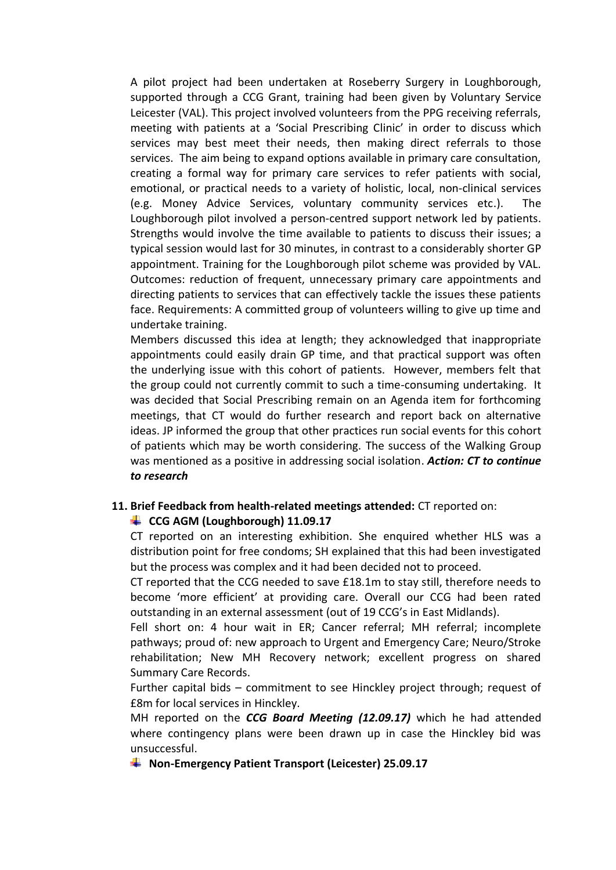A pilot project had been undertaken at Roseberry Surgery in Loughborough, supported through a CCG Grant, training had been given by Voluntary Service Leicester (VAL). This project involved volunteers from the PPG receiving referrals, meeting with patients at a 'Social Prescribing Clinic' in order to discuss which services may best meet their needs, then making direct referrals to those services. The aim being to expand options available in primary care consultation, creating a formal way for primary care services to refer patients with social, emotional, or practical needs to a variety of holistic, local, non-clinical services (e.g. Money Advice Services, voluntary community services etc.). The Loughborough pilot involved a person-centred support network led by patients. Strengths would involve the time available to patients to discuss their issues; a typical session would last for 30 minutes, in contrast to a considerably shorter GP appointment. Training for the Loughborough pilot scheme was provided by VAL. Outcomes: reduction of frequent, unnecessary primary care appointments and directing patients to services that can effectively tackle the issues these patients face. Requirements: A committed group of volunteers willing to give up time and undertake training.

Members discussed this idea at length; they acknowledged that inappropriate appointments could easily drain GP time, and that practical support was often the underlying issue with this cohort of patients. However, members felt that the group could not currently commit to such a time-consuming undertaking. It was decided that Social Prescribing remain on an Agenda item for forthcoming meetings, that CT would do further research and report back on alternative ideas. JP informed the group that other practices run social events for this cohort of patients which may be worth considering. The success of the Walking Group was mentioned as a positive in addressing social isolation. *Action: CT to continue to research*

## **11. Brief Feedback from health-related meetings attended:** CT reported on:

## **CCG AGM (Loughborough) 11.09.17**

CT reported on an interesting exhibition. She enquired whether HLS was a distribution point for free condoms; SH explained that this had been investigated but the process was complex and it had been decided not to proceed.

CT reported that the CCG needed to save £18.1m to stay still, therefore needs to become 'more efficient' at providing care. Overall our CCG had been rated outstanding in an external assessment (out of 19 CCG's in East Midlands).

Fell short on: 4 hour wait in ER; Cancer referral; MH referral; incomplete pathways; proud of: new approach to Urgent and Emergency Care; Neuro/Stroke rehabilitation; New MH Recovery network; excellent progress on shared Summary Care Records.

Further capital bids – commitment to see Hinckley project through; request of £8m for local services in Hinckley.

MH reported on the *CCG Board Meeting (12.09.17)* which he had attended where contingency plans were been drawn up in case the Hinckley bid was unsuccessful.

**Non-Emergency Patient Transport (Leicester) 25.09.17**